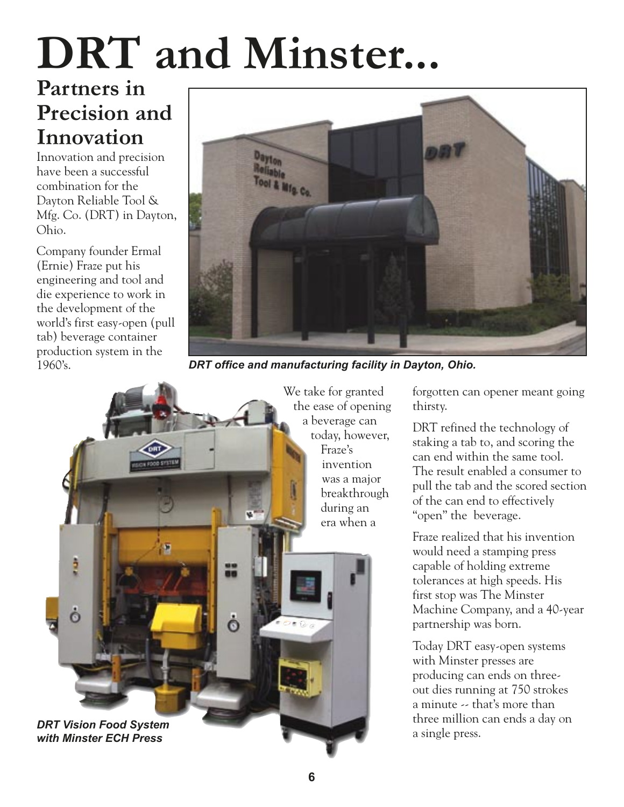## **DRT and Minster...**

## **Partners in Precision and Innovation**

Innovation and precision have been a successful combination for the Dayton Reliable Tool & Mfg. Co. (DRT) in Dayton, Ohio.

Company founder Ermal (Ernie) Fraze put his engineering and tool and die experience to work in the development of the world's first easy-open (pull tab) beverage container production system in the 1960's.



*DRT office and manufacturing facility in Dayton, Ohio.*



forgotten can opener meant going thirsty.

DRT refined the technology of staking a tab to, and scoring the can end within the same tool. The result enabled a consumer to pull the tab and the scored section of the can end to effectively "open" the beverage.

Fraze realized that his invention would need a stamping press capable of holding extreme tolerances at high speeds. His first stop was The Minster Machine Company, and a 40-year partnership was born.

Today DRT easy-open systems with Minster presses are producing can ends on threeout dies running at 750 strokes a minute -- that's more than three million can ends a day on a single press.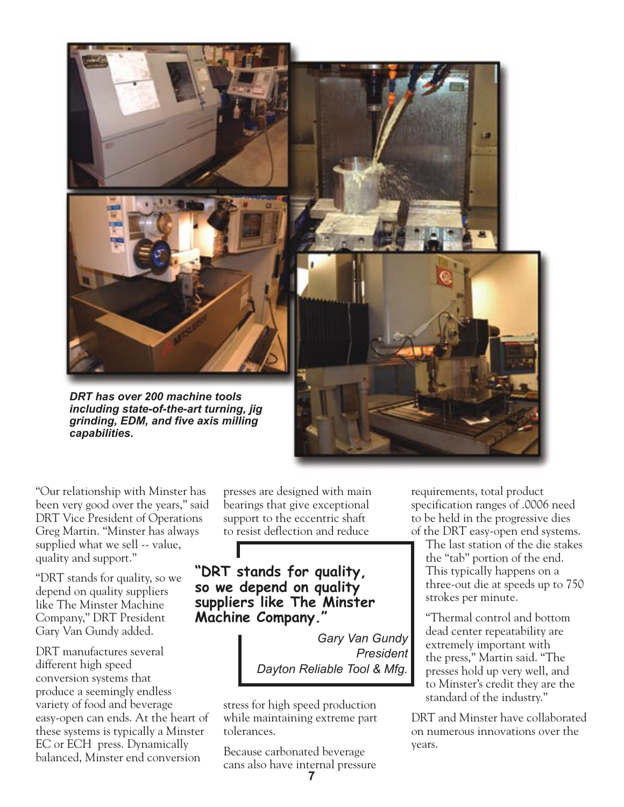

"Our relationship with Minster has been very good over the years," said DRT Vice President of Operations Greg Martin. "Minster has always supplied what we sell  $\sim$  value, quality and support."

"DRT stands for quality, so we depend on quality suppliers like The Minster Machine Company," DRT President Gary Van Gundy added.

DRT manufactures several different high speed conversion systems that produce a seemingly endless variety of food and beverage easy-open can ends. At the heart of these systems is typically a Minster EC or ECH press. Dynamically balanced, Minster end conversion

presses are designed with main bearings that give exceptional support to the eccentric shaft to resist deflection and reduce

**"DRT stands for quality, so we depend on quality suppliers like The Minster Machine Company."**

> *Gary Van Gundy President Dayton Reliable Tool & Mfg.*

stress for high speed production while maintaining extreme part tolerances.

Because carbonated beverage cans also have internal pressure requirements, total product specification ranges of .0006 need to be held in the progressive dies of the DRT easy-open end systems.

The last station of the die stakes the "tab" portion of the end. This typically happens on a three-out die at speeds up to 750 strokes per minute.

"Thermal control and bottom dead center repeatability are extremely important with the press," Martin said. "The presses hold up very well, and to Minster's credit they are the standard of the industry."

DRT and Minster have collaborated on numerous innovations over the years.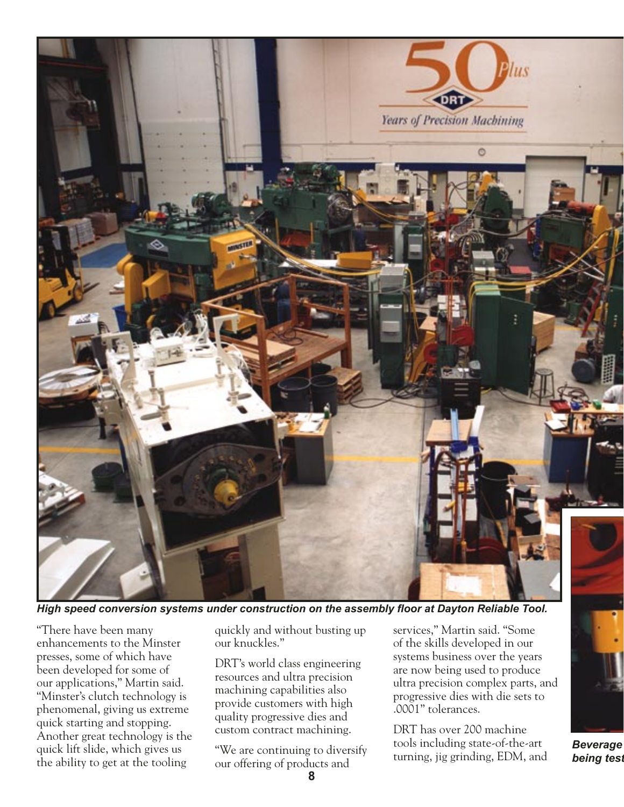

*High speed conversion systems under construction on the assembly floor at Dayton Reliable Tool.*

"There have been many enhancements to the Minster presses, some of which have been developed for some of our applications," Martin said. "Minster's clutch technology is phenomenal, giving us extreme quick starting and stopping. Another great technology is the quick lift slide, which gives us the ability to get at the tooling

quickly and without busting up our knuckles."

DRT's world class engineering resources and ultra precision machining capabilities also provide customers with high quality progressive dies and custom contract machining.

"We are continuing to diversify our offering of products and

services," Martin said. "Some of the skills developed in our systems business over the years are now being used to produce ultra precision complex parts, and progressive dies with die sets to .0001" tolerances.

DRT has over 200 machine tools including state-of-the-art turning, jig grinding, EDM, and

*Beverage being test*